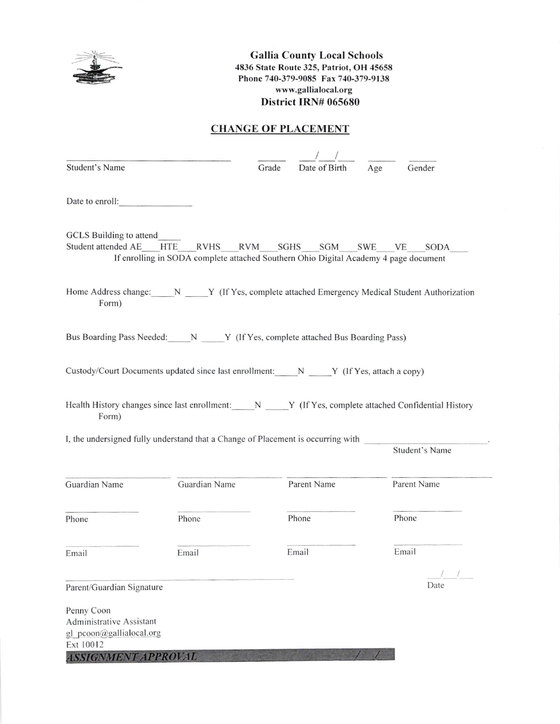

Gallia County Local Schools 4836 State Route 325, Patriot, OH 45658 Phone 740-379-9085 Fax 740-379-9138 www.gallialocal.org District IRN# 065680

## **CHANGE OF PLACEMENT**

| <b>Student's Name</b>                                                                                         |                                                                                      | Grade | Date of Birth | Age | Gender         |
|---------------------------------------------------------------------------------------------------------------|--------------------------------------------------------------------------------------|-------|---------------|-----|----------------|
| Date to enroll:                                                                                               |                                                                                      |       |               |     |                |
| <b>GCLS</b> Building to attend<br>Student attended AE HTE RVHS RVM SGHS SGM SWE VE                            | If enrolling in SODA complete attached Southern Ohio Digital Academy 4 page document |       |               |     | SODA           |
| Home Address change: N Y (If Yes, complete attached Emergency Medical Student Authorization<br>Form)          |                                                                                      |       |               |     |                |
| Bus Boarding Pass Needed: N Y (If Yes, complete attached Bus Boarding Pass)                                   |                                                                                      |       |               |     |                |
| Custody/Court Documents updated since last enrollment: $N$ $Y$ (If Yes, attach a copy)                        |                                                                                      |       |               |     |                |
| Health History changes since last enrollment: N Y (If Yes, complete attached Confidential History<br>Form)    |                                                                                      |       |               |     |                |
| I, the undersigned fully understand that a Change of Placement is occurring with                              |                                                                                      |       |               |     | Student's Name |
| Guardian Name                                                                                                 | Guardian Name                                                                        |       | Parent Name   |     | Parent Name    |
| Phone                                                                                                         | Phone                                                                                |       | Phone         |     | Phone          |
| Email                                                                                                         | Email                                                                                |       | Email         |     | Email          |
| Parent/Guardian Signature                                                                                     |                                                                                      |       |               |     | Date           |
| Penny Coon<br>Administrative Assistant<br>gl pcoon@gallialocal.org<br>Ext 10012<br><b>ASSIGNMENT APPROVAL</b> |                                                                                      |       |               |     |                |
|                                                                                                               |                                                                                      |       |               |     |                |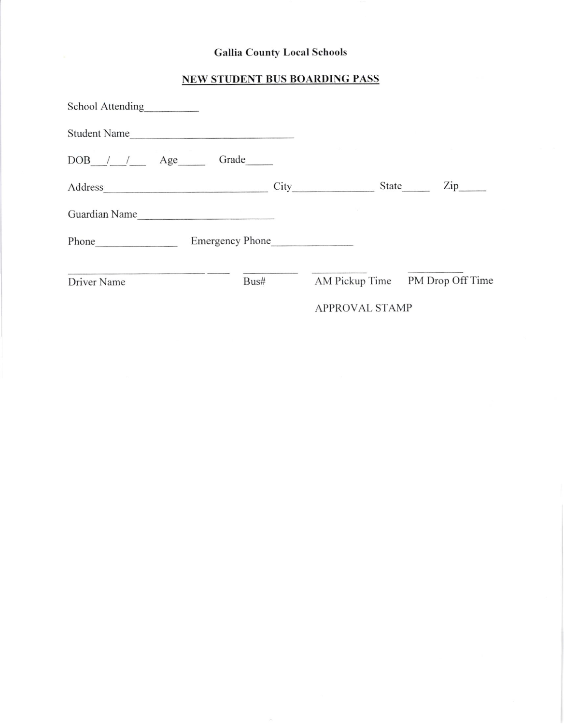## Gallia County Local Schools

## NEW STUDENT BUS BOARDING PASS

| School Attending |                 |       |      |                       |       |                    |
|------------------|-----------------|-------|------|-----------------------|-------|--------------------|
| Student Name     |                 |       |      |                       |       |                    |
| DOB / / Age      |                 | Grade |      |                       |       |                    |
|                  |                 |       | City |                       | State | $\mathrm{Zip}_{-}$ |
| Guardian Name    |                 |       |      |                       |       |                    |
|                  | Emergency Phone |       |      |                       |       |                    |
| Driver Name      |                 | Bus#  |      | AM Pickup Time        |       | PM Drop Off Time   |
|                  |                 |       |      | <b>APPROVAL STAMP</b> |       |                    |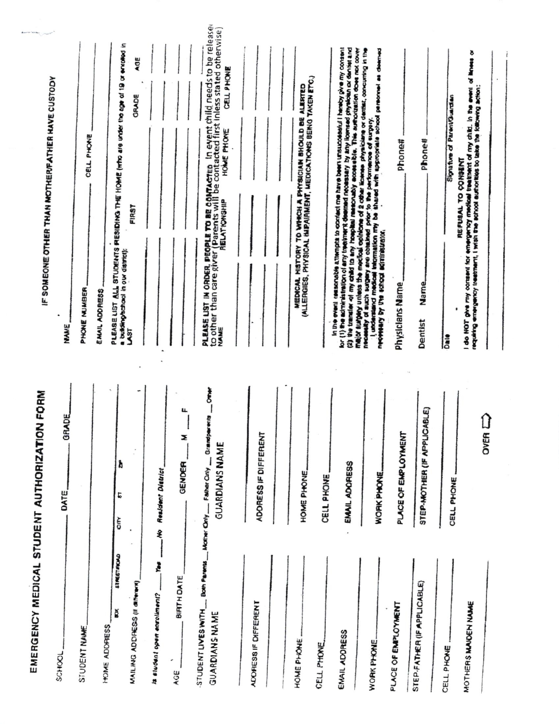| IF SOMEONE OTHER THAN MOTHERFATHER HAVE CUSTODY<br><b>NAME</b> | CELL PHONE<br>PHONE WUMBER | EMAIL ADDRESS | PLEASE LIST ALL STUDENTS PRESIDING THE HOME (WHO are under the app of 19 or envised in<br>AOE<br><b>GRADE</b><br>FIRST<br>a building/school in our district);<br>S |                                           |                   | <b>PLEASE LIST IN ORDER. PEOPLE TO BE CONTACTED IN EVENT CHILI NEEDS TO be released</b><br>to other than care giver (Parents will be contacted first inless stated otherwise)<br><b>CELL PHONE</b><br>HOME PHONE<br>RELATIONSHIP<br>NAME |                      | (ALLERGIES, PHYSICAL IMPAIRMENT, MEDICATIONS BEING TAKEN ETC.)<br>MEDICAL HISTORY TO WHICH A PHYSICIAN BHOULD BE ALERTED | in the event resorciable attempts to coorded mee have been unsuccessful I havely give my consent<br>lor (1) the authority beamedy that ye is viscanced members the same of provided the contract and<br>(2) the transier of my child to any hospital naseousby eccessible. This authorization does not cover | necessity of such august are obtained prior to the performance of surgery.<br>I understand meadoal information my be shared with appropriate school personnel as deemed<br>mejor surgery unless the mochosi opinions of 2 other license, physiciane or dentist, concurring in the<br>necessary by the school administrator, | Phone#<br>Physicians Name | <b>Phone#</b><br><b>Name</b><br>Dentist | Signature of ParentGuardian<br>Date | o to NOT pive my consent for emergency medical treatment of my child. In the event of leness or<br>requiring empropments, I wish the achood authorize to lake the keting action;<br>REFUSAL TO CONSENT |
|----------------------------------------------------------------|----------------------------|---------------|--------------------------------------------------------------------------------------------------------------------------------------------------------------------|-------------------------------------------|-------------------|------------------------------------------------------------------------------------------------------------------------------------------------------------------------------------------------------------------------------------------|----------------------|--------------------------------------------------------------------------------------------------------------------------|--------------------------------------------------------------------------------------------------------------------------------------------------------------------------------------------------------------------------------------------------------------------------------------------------------------|-----------------------------------------------------------------------------------------------------------------------------------------------------------------------------------------------------------------------------------------------------------------------------------------------------------------------------|---------------------------|-----------------------------------------|-------------------------------------|--------------------------------------------------------------------------------------------------------------------------------------------------------------------------------------------------------|
| EMERGENCY MEDICAL STUDENT AUTHORIZATION FORM<br>GRADE<br>DATE_ |                            |               | à<br>5<br>GIY                                                                                                                                                      | Realdent District                         | u.<br>Z<br>GENDER | Grandparents __ Other<br><b>GUARDIANS NAME</b>                                                                                                                                                                                           | ADORESS IF DIFFERENT | HOME PHONE                                                                                                               | EMAIL ADORESS<br>CELL PHONE                                                                                                                                                                                                                                                                                  | WORK PHONE.                                                                                                                                                                                                                                                                                                                 | PLACE OF EMPLOYMENT       | STEP-MOTHER (IF APPLICABLE)             | CELL PHONE                          | OVER                                                                                                                                                                                                   |
| SCHOOL_                                                        | STUDENT NAME               | HOME ADDRESS  | <b>STREET FICHLO</b><br>MAILING ADDRESS (II ORNING)<br>ð                                                                                                           | $You — No$<br>ta student open enrollment? | BIRTH DATE<br>AGE | STUDENT LIVES WITH ___ Both Parents ___ Mother Chily ____ Fasher Chily __<br><b>GUARDIANS NAME</b>                                                                                                                                       | ADORESS IF DIFFERENT | HOME PHONE<br>CELL PHONE                                                                                                 | EMAIL ADDRESS                                                                                                                                                                                                                                                                                                | WORK PHONE.                                                                                                                                                                                                                                                                                                                 | PLACE OF EMPLOYMENT       | STEP-FATHER (IF APPLICABLE)             | CELL PHONE.                         | MOTHERS MAIDEN NAME                                                                                                                                                                                    |